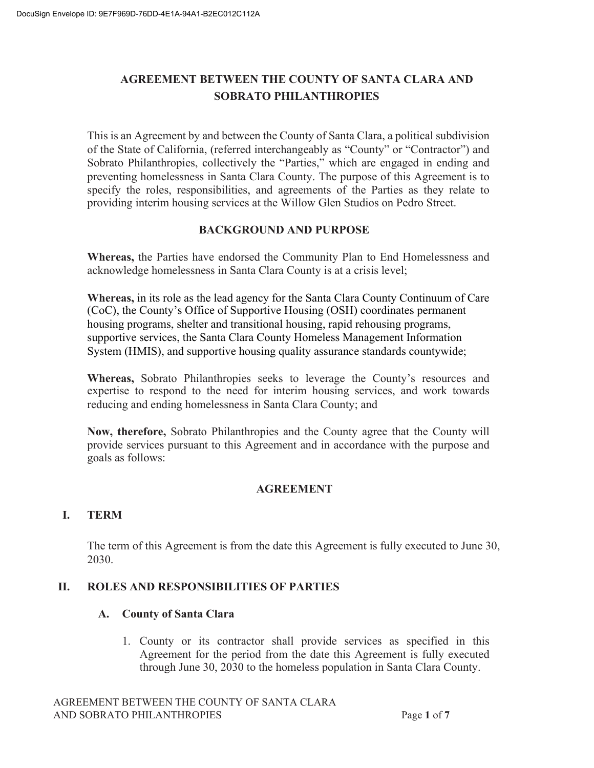# **AGREEMENT BETWEEN THE COUNTY OF SANTA CLARA AND SOBRATO PHILANTHROPIES**

This is an Agreement by and between the County of Santa Clara, a political subdivision of the State of California, (referred interchangeably as "County" or "Contractor") and Sobrato Philanthropies, collectively the "Parties," which are engaged in ending and preventing homelessness in Santa Clara County. The purpose of this Agreement is to specify the roles, responsibilities, and agreements of the Parties as they relate to providing interim housing services at the Willow Glen Studios on Pedro Street.

### **BACKGROUND AND PURPOSE**

**Whereas,** the Parties have endorsed the Community Plan to End Homelessness and acknowledge homelessness in Santa Clara County is at a crisis level;

**Whereas,** in its role as the lead agency for the Santa Clara County Continuum of Care (CoC), the County's Office of Supportive Housing (OSH) coordinates permanent housing programs, shelter and transitional housing, rapid rehousing programs, supportive services, the Santa Clara County Homeless Management Information System (HMIS), and supportive housing quality assurance standards countywide;

**Whereas,** Sobrato Philanthropies seeks to leverage the County's resources and expertise to respond to the need for interim housing services, and work towards reducing and ending homelessness in Santa Clara County; and

**Now, therefore,** Sobrato Philanthropies and the County agree that the County will provide services pursuant to this Agreement and in accordance with the purpose and goals as follows:

## **AGREEMENT**

## **I. TERM**

The term of this Agreement is from the date this Agreement is fully executed to June 30, 2030.

## **II. ROLES AND RESPONSIBILITIES OF PARTIES**

## **A. County of Santa Clara**

1. County or its contractor shall provide services as specified in this Agreement for the period from the date this Agreement is fully executed through June 30, 2030 to the homeless population in Santa Clara County.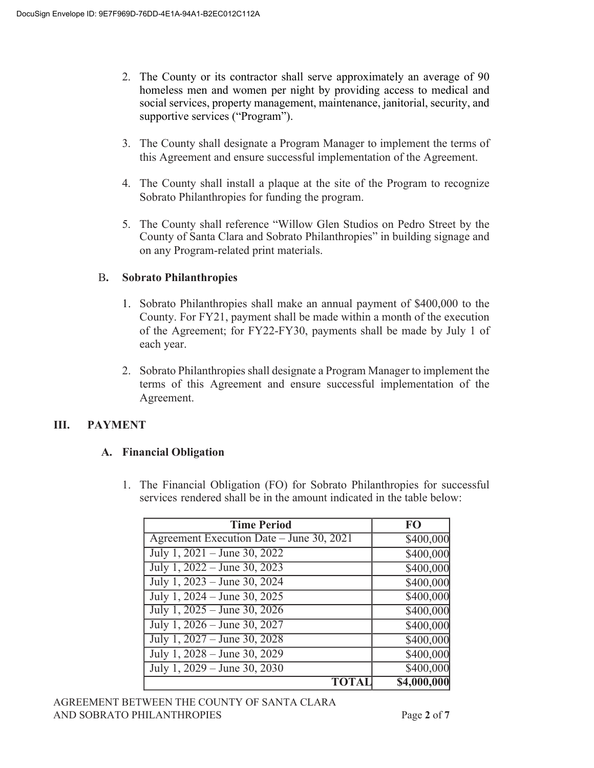- 2. The County or its contractor shall serve approximately an average of 90 homeless men and women per night by providing access to medical and social services, property management, maintenance, janitorial, security, and supportive services ("Program").
- 3. The County shall designate a Program Manager to implement the terms of this Agreement and ensure successful implementation of the Agreement.
- 4. The County shall install a plaque at the site of the Program to recognize Sobrato Philanthropies for funding the program.
- 5. The County shall reference "Willow Glen Studios on Pedro Street by the County of Santa Clara and Sobrato Philanthropies" in building signage and on any Program-related print materials.

## B**. Sobrato Philanthropies**

- 1. Sobrato Philanthropies shall make an annual payment of \$400,000 to the County. For FY21, payment shall be made within a month of the execution of the Agreement; for FY22-FY30, payments shall be made by July 1 of each year.
- 2. Sobrato Philanthropies shall designate a Program Manager to implement the terms of this Agreement and ensure successful implementation of the Agreement.

## **III. PAYMENT**

## **A. Financial Obligation**

1. The Financial Obligation (FO) for Sobrato Philanthropies for successful services rendered shall be in the amount indicated in the table below:

| <b>Time Period</b>                       | F <sub>O</sub>        |
|------------------------------------------|-----------------------|
| Agreement Execution Date - June 30, 2021 | \$400,000             |
| July 1, $2021 -$ June 30, $2022$         | \$400,000             |
| July 1, $2022 -$ June 30, $2023$         | \$400,000             |
| July 1, 2023 – June 30, 2024             | \$400,000             |
| July 1, 2024 – June 30, 2025             | $\overline{$400,000}$ |
| July 1, 2025 – June 30, 2026             | $\overline{$400,000}$ |
| July 1, 2026 – June 30, 2027             | \$400,000             |
| July 1, 2027 – June 30, 2028             | \$400,000             |
| July 1, 2028 – June 30, 2029             | \$400,000             |
| July 1, $2029 -$ June 30, $2030$         | \$400,000             |
|                                          | \$4,000,000           |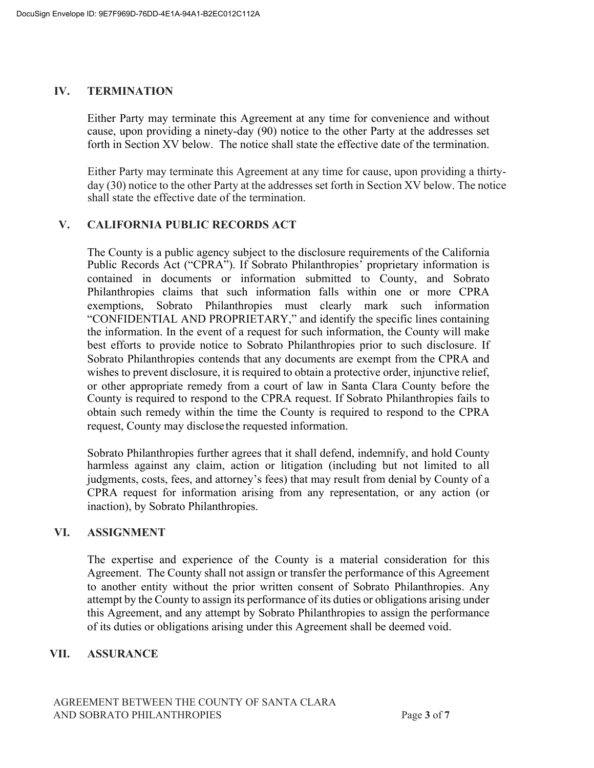#### **IV. TERMINATION**

Either Party may terminate this Agreement at any time for convenience and without cause, upon providing a ninety-day (90) notice to the other Party at the addresses set forth in Section XV below. The notice shall state the effective date of the termination.

Either Party may terminate this Agreement at any time for cause, upon providing a thirtyday (30) notice to the other Party at the addresses set forth in Section XV below. The notice shall state the effective date of the termination.

## **V. CALIFORNIA PUBLIC RECORDS ACT**

The County is a public agency subject to the disclosure requirements of the California Public Records Act ("CPRA"). If Sobrato Philanthropies' proprietary information is contained in documents or information submitted to County, and Sobrato Philanthropies claims that such information falls within one or more CPRA exemptions, Sobrato Philanthropies must clearly mark such information "CONFIDENTIAL AND PROPRIETARY," and identify the specific lines containing the information. In the event of a request for such information, the County will make best efforts to provide notice to Sobrato Philanthropies prior to such disclosure. If Sobrato Philanthropies contends that any documents are exempt from the CPRA and wishes to prevent disclosure, it is required to obtain a protective order, injunctive relief, or other appropriate remedy from a court of law in Santa Clara County before the County is required to respond to the CPRA request. If Sobrato Philanthropies fails to obtain such remedy within the time the County is required to respond to the CPRA request, County may disclose the requested information.

Sobrato Philanthropies further agrees that it shall defend, indemnify, and hold County harmless against any claim, action or litigation (including but not limited to all judgments, costs, fees, and attorney's fees) that may result from denial by County of a CPRA request for information arising from any representation, or any action (or inaction), by Sobrato Philanthropies.

#### **VI. ASSIGNMENT**

The expertise and experience of the County is a material consideration for this Agreement. The County shall not assign or transfer the performance of this Agreement to another entity without the prior written consent of Sobrato Philanthropies. Any attempt by the County to assign its performance of its duties or obligations arising under this Agreement, and any attempt by Sobrato Philanthropies to assign the performance of its duties or obligations arising under this Agreement shall be deemed void.

## **VII. ASSURANCE**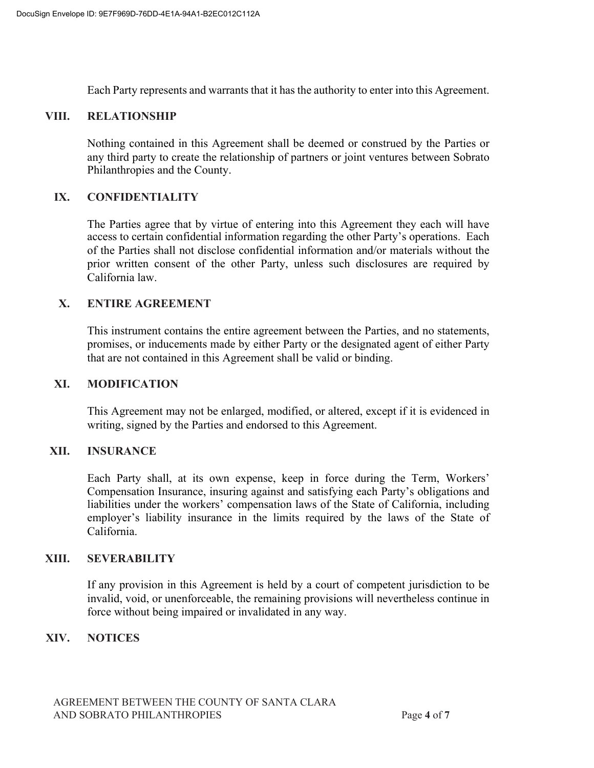Each Party represents and warrants that it has the authority to enter into this Agreement.

#### **VIII. RELATIONSHIP**

Nothing contained in this Agreement shall be deemed or construed by the Parties or any third party to create the relationship of partners or joint ventures between Sobrato Philanthropies and the County.

### **IX. CONFIDENTIALITY**

The Parties agree that by virtue of entering into this Agreement they each will have access to certain confidential information regarding the other Party's operations. Each of the Parties shall not disclose confidential information and/or materials without the prior written consent of the other Party, unless such disclosures are required by California law.

### **X. ENTIRE AGREEMENT**

This instrument contains the entire agreement between the Parties, and no statements, promises, or inducements made by either Party or the designated agent of either Party that are not contained in this Agreement shall be valid or binding.

#### **XI. MODIFICATION**

This Agreement may not be enlarged, modified, or altered, except if it is evidenced in writing, signed by the Parties and endorsed to this Agreement.

#### **XII. INSURANCE**

Each Party shall, at its own expense, keep in force during the Term, Workers' Compensation Insurance, insuring against and satisfying each Party's obligations and liabilities under the workers' compensation laws of the State of California, including employer's liability insurance in the limits required by the laws of the State of California.

#### **XIII. SEVERABILITY**

If any provision in this Agreement is held by a court of competent jurisdiction to be invalid, void, or unenforceable, the remaining provisions will nevertheless continue in force without being impaired or invalidated in any way.

#### **XIV. NOTICES**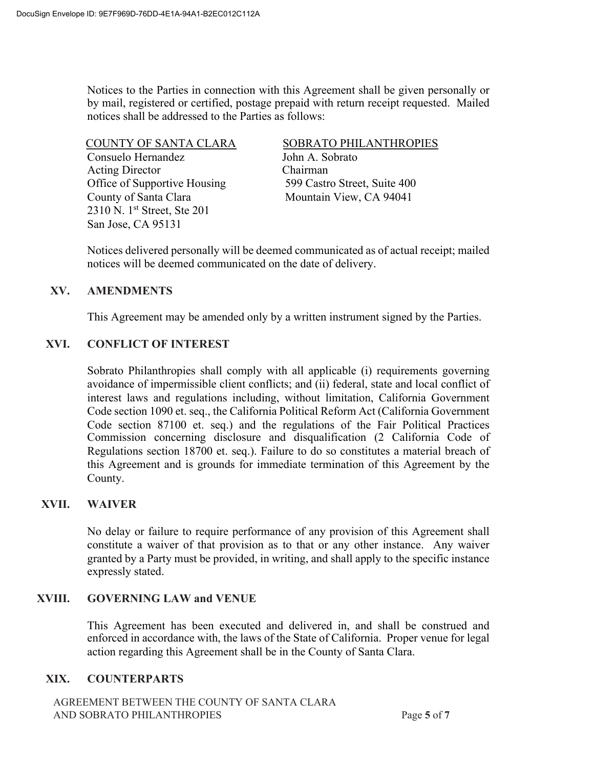Notices to the Parties in connection with this Agreement shall be given personally or by mail, registered or certified, postage prepaid with return receipt requested. Mailed notices shall be addressed to the Parties as follows:

Consuelo Hernandez John A. Sobrato Acting Director Chairman Office of Supportive Housing 599 Castro Street, Suite 400 County of Santa Clara Mountain View, CA 94041 2310 N. 1st Street, Ste 201 San Jose, CA 95131

### COUNTY OF SANTA CLARA SOBRATO PHILANTHROPIES

Notices delivered personally will be deemed communicated as of actual receipt; mailed notices will be deemed communicated on the date of delivery.

### **XV. AMENDMENTS**

This Agreement may be amended only by a written instrument signed by the Parties.

## **XVI. CONFLICT OF INTEREST**

Sobrato Philanthropies shall comply with all applicable (i) requirements governing avoidance of impermissible client conflicts; and (ii) federal, state and local conflict of interest laws and regulations including, without limitation, California Government Code section 1090 et. seq., the California Political Reform Act (California Government Code section 87100 et. seq.) and the regulations of the Fair Political Practices Commission concerning disclosure and disqualification (2 California Code of Regulations section 18700 et. seq.). Failure to do so constitutes a material breach of this Agreement and is grounds for immediate termination of this Agreement by the County.

## **XVII. WAIVER**

No delay or failure to require performance of any provision of this Agreement shall constitute a waiver of that provision as to that or any other instance. Any waiver granted by a Party must be provided, in writing, and shall apply to the specific instance expressly stated.

#### **XVIII. GOVERNING LAW and VENUE**

This Agreement has been executed and delivered in, and shall be construed and enforced in accordance with, the laws of the State of California. Proper venue for legal action regarding this Agreement shall be in the County of Santa Clara.

## **XIX. COUNTERPARTS**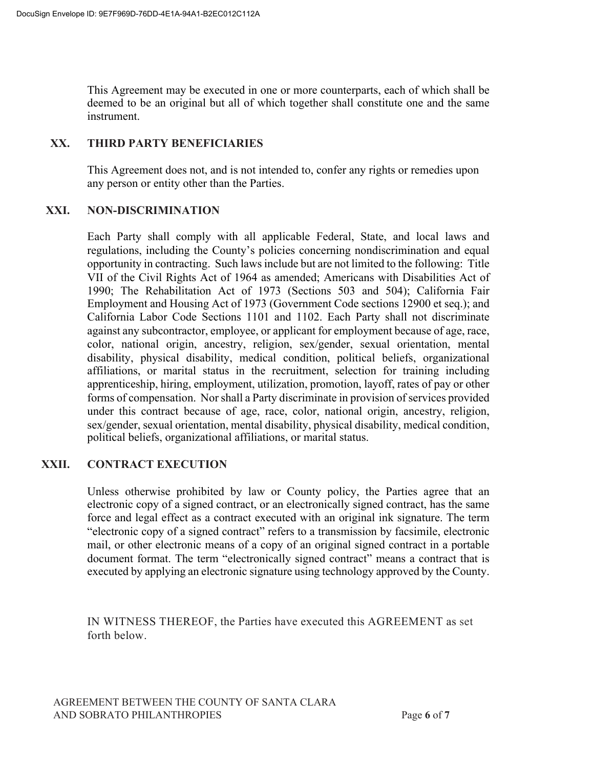This Agreement may be executed in one or more counterparts, each of which shall be deemed to be an original but all of which together shall constitute one and the same instrument.

## **XX. THIRD PARTY BENEFICIARIES**

This Agreement does not, and is not intended to, confer any rights or remedies upon any person or entity other than the Parties.

### **XXI. NON-DISCRIMINATION**

Each Party shall comply with all applicable Federal, State, and local laws and regulations, including the County's policies concerning nondiscrimination and equal opportunity in contracting. Such laws include but are not limited to the following: Title VII of the Civil Rights Act of 1964 as amended; Americans with Disabilities Act of 1990; The Rehabilitation Act of 1973 (Sections 503 and 504); California Fair Employment and Housing Act of 1973 (Government Code sections 12900 et seq.); and California Labor Code Sections 1101 and 1102. Each Party shall not discriminate against any subcontractor, employee, or applicant for employment because of age, race, color, national origin, ancestry, religion, sex/gender, sexual orientation, mental disability, physical disability, medical condition, political beliefs, organizational affiliations, or marital status in the recruitment, selection for training including apprenticeship, hiring, employment, utilization, promotion, layoff, rates of pay or other forms of compensation. Nor shall a Party discriminate in provision of services provided under this contract because of age, race, color, national origin, ancestry, religion, sex/gender, sexual orientation, mental disability, physical disability, medical condition, political beliefs, organizational affiliations, or marital status.

## **XXII. CONTRACT EXECUTION**

Unless otherwise prohibited by law or County policy, the Parties agree that an electronic copy of a signed contract, or an electronically signed contract, has the same force and legal effect as a contract executed with an original ink signature. The term "electronic copy of a signed contract" refers to a transmission by facsimile, electronic mail, or other electronic means of a copy of an original signed contract in a portable document format. The term "electronically signed contract" means a contract that is executed by applying an electronic signature using technology approved by the County.

IN WITNESS THEREOF, the Parties have executed this AGREEMENT as set forth below.